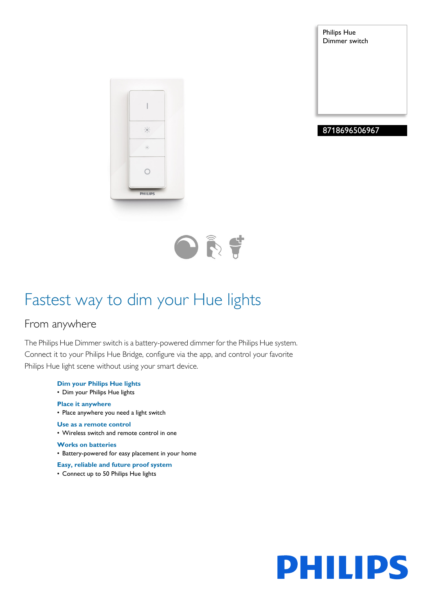Philips Hue Dimmer switch







## Fastest way to dim your Hue lights

## From anywhere

The Philips Hue Dimmer switch is a battery-powered dimmer for the Philips Hue system. Connect it to your Philips Hue Bridge, configure via the app, and control your favorite Philips Hue light scene without using your smart device.

- **Dim your Philips Hue lights** • Dim your Philips Hue lights **Place it anywhere** • Place anywhere you need a light switch **Use as a remote control** • Wireless switch and remote control in one **Works on batteries** • Battery-powered for easy placement in your home **Easy, reliable and future proof system**
- Connect up to 50 Philips Hue lights